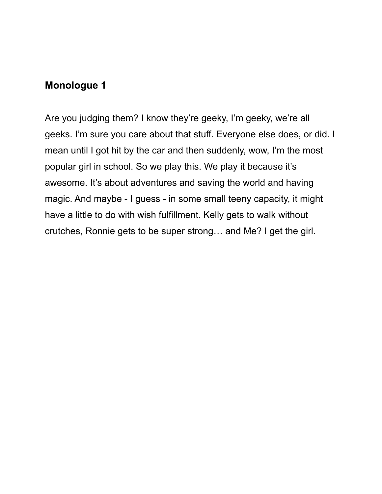Are you judging them? I know they're geeky, I'm geeky, we're all geeks. I'm sure you care about that stuff. Everyone else does, or did. I mean until I got hit by the car and then suddenly, wow, I'm the most popular girl in school. So we play this. We play it because it's awesome. It's about adventures and saving the world and having magic. And maybe - I guess - in some small teeny capacity, it might have a little to do with wish fulfillment. Kelly gets to walk without crutches, Ronnie gets to be super strong… and Me? I get the girl.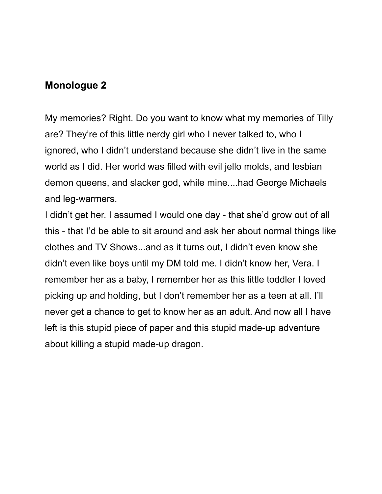My memories? Right. Do you want to know what my memories of Tilly are? They're of this little nerdy girl who I never talked to, who I ignored, who I didn't understand because she didn't live in the same world as I did. Her world was filled with evil jello molds, and lesbian demon queens, and slacker god, while mine....had George Michaels and leg-warmers.

I didn't get her. I assumed I would one day - that she'd grow out of all this - that I'd be able to sit around and ask her about normal things like clothes and TV Shows...and as it turns out, I didn't even know she didn't even like boys until my DM told me. I didn't know her, Vera. I remember her as a baby, I remember her as this little toddler I loved picking up and holding, but I don't remember her as a teen at all. I'll never get a chance to get to know her as an adult. And now all I have left is this stupid piece of paper and this stupid made-up adventure about killing a stupid made-up dragon.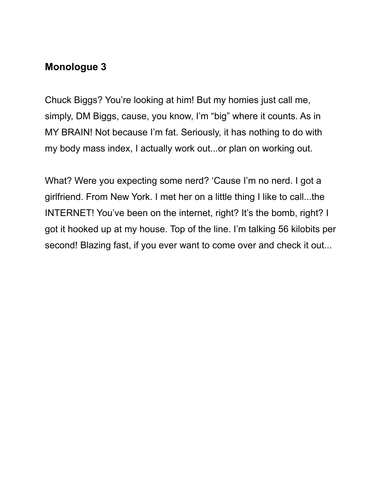Chuck Biggs? You're looking at him! But my homies just call me, simply, DM Biggs, cause, you know, I'm "big" where it counts. As in MY BRAIN! Not because I'm fat. Seriously, it has nothing to do with my body mass index, I actually work out...or plan on working out.

What? Were you expecting some nerd? 'Cause I'm no nerd. I got a girlfriend. From New York. I met her on a little thing I like to call...the INTERNET! You've been on the internet, right? It's the bomb, right? I got it hooked up at my house. Top of the line. I'm talking 56 kilobits per second! Blazing fast, if you ever want to come over and check it out...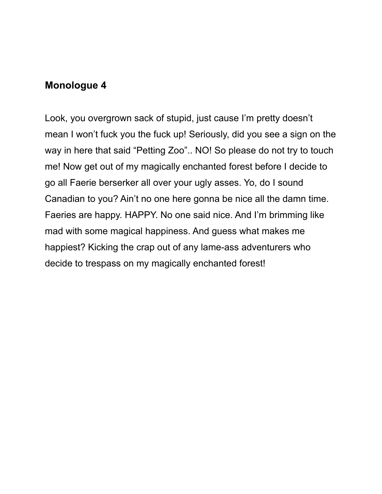Look, you overgrown sack of stupid, just cause I'm pretty doesn't mean I won't fuck you the fuck up! Seriously, did you see a sign on the way in here that said "Petting Zoo".. NO! So please do not try to touch me! Now get out of my magically enchanted forest before I decide to go all Faerie berserker all over your ugly asses. Yo, do I sound Canadian to you? Ain't no one here gonna be nice all the damn time. Faeries are happy. HAPPY. No one said nice. And I'm brimming like mad with some magical happiness. And guess what makes me happiest? Kicking the crap out of any lame-ass adventurers who decide to trespass on my magically enchanted forest!